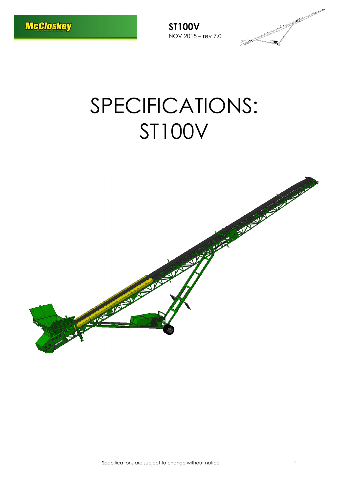

# SPECIFICATIONS: ST100V

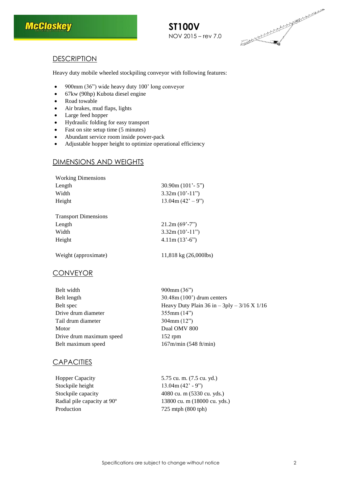



# **DESCRIPTION**

Heavy duty mobile wheeled stockpiling conveyor with following features:

- 900mm (36") wide heavy duty 100' long conveyor
- 67kw (90hp) Kubota diesel engine
- Road towable
- Air brakes, mud flaps, lights
- Large feed hopper
- Hydraulic folding for easy transport
- Fast on site setup time (5 minutes)
- Abundant service room inside power-pack
- Adjustable hopper height to optimize operational efficiency

# DIMENSIONS AND WEIGHTS

| <b>Working Dimensions</b>   |                       |
|-----------------------------|-----------------------|
| Length                      | 30.90m $(101' - 5'')$ |
| Width                       | $3.32m(10'-11")$      |
| Height                      | $13.04m (42' - 9'')$  |
|                             |                       |
| <b>Transport Dimensions</b> |                       |
| Length                      | $21.2m (69' - 7'')$   |
| Width                       | $3.32m(10'-11")$      |
| Height                      | $4.11m(13'-6")$       |
|                             |                       |
|                             |                       |

Weight (approximate) 11,818 kg (26,000lbs)

# **CONVEYOR**

| Belt width               | $900$ mm $(36")$                                |
|--------------------------|-------------------------------------------------|
| Belt length              | $30.48$ m $(100)$ drum centers                  |
| Belt spec                | Heavy Duty Plain 36 in $-$ 3ply $-$ 3/16 X 1/16 |
| Drive drum diameter      | 355mm(14")                                      |
| Tail drum diameter       | 304mm(12")                                      |
| Motor                    | Dual OMV 800                                    |
| Drive drum maximum speed | $152$ rpm                                       |
| Belt maximum speed       | 167m/min (548 ft/min)                           |

### **CAPACITIES**

| <b>Hopper Capacity</b>                  |  |
|-----------------------------------------|--|
| Stockpile height                        |  |
| Stockpile capacity                      |  |
| Radial pile capacity at 90 <sup>°</sup> |  |
| Production                              |  |

5.75 cu. m. (7.5 cu. yd.)  $13.04m (42' - 9")$ 4080 cu. m (5330 cu. yds.) 13800 cu. m (18000 cu. yds.) 725 mtph (800 tph)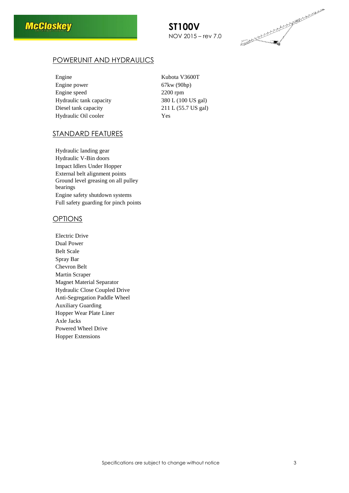



# POWERUNIT AND HYDRAULICS

| Engine                  | Kubota V3600T       |
|-------------------------|---------------------|
| Engine power            | 67kw (90hp)         |
| Engine speed            | $2200$ rpm          |
| Hydraulic tank capacity | 380 L (100 US gal)  |
| Diesel tank capacity    | 211 L (55.7 US gal) |
| Hydraulic Oil cooler    | Yes                 |

### STANDARD FEATURES

Hydraulic landing gear Hydraulic V-Bin doors Impact Idlers Under Hopper External belt alignment points Ground level greasing on all pulley bearings Engine safety shutdown systems Full safety guarding for pinch points

### OPTIONS

Electric Drive Dual Power Belt Scale Spray Bar Chevron Belt Martin Scraper Magnet Material Separator Hydraulic Close Coupled Drive Anti-Segregation Paddle Wheel Auxiliary Guarding Hopper Wear Plate Liner Axle Jacks Powered Wheel Drive Hopper Extensions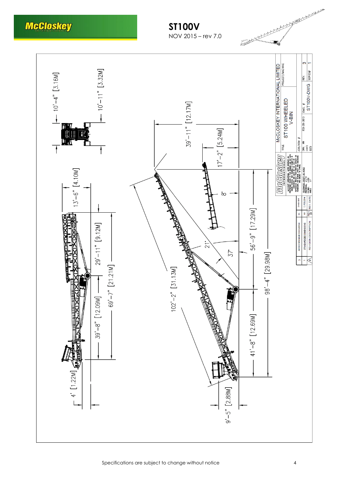# **McCloskey**

# **ST100V** NOV 2015 – rev 7.0